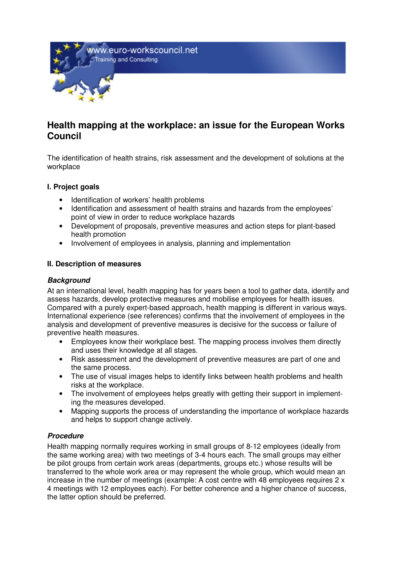www.euro-workscouncil.net Training and Consulting



# **Health mapping at the workplace: an issue for the European Works Council**

The identification of health strains, risk assessment and the development of solutions at the workplace

#### **I. Project goals**

- Identification of workers' health problems
- Identification and assessment of health strains and hazards from the employees' point of view in order to reduce workplace hazards
- Development of proposals, preventive measures and action steps for plant-based health promotion
- Involvement of employees in analysis, planning and implementation

#### **II. Description of measures**

#### **Background**

At an international level, health mapping has for years been a tool to gather data, identify and assess hazards, develop protective measures and mobilise employees for health issues. Compared with a purely expert-based approach, health mapping is different in various ways. International experience (see references) confirms that the involvement of employees in the analysis and development of preventive measures is decisive for the success or failure of preventive health measures.

- Employees know their workplace best. The mapping process involves them directly and uses their knowledge at all stages.
- Risk assessment and the development of preventive measures are part of one and the same process.
- The use of visual images helps to identify links between health problems and health risks at the workplace.
- The involvement of employees helps greatly with getting their support in implementing the measures developed.
- Mapping supports the process of understanding the importance of workplace hazards and helps to support change actively.

## **Procedure**

Health mapping normally requires working in small groups of 8-12 employees (ideally from the same working area) with two meetings of 3-4 hours each. The small groups may either be pilot groups from certain work areas (departments, groups etc.) whose results will be transferred to the whole work area or may represent the whole group, which would mean an increase in the number of meetings (example: A cost centre with 48 employees requires 2 x 4 meetings with 12 employees each). For better coherence and a higher chance of success, the latter option should be preferred.